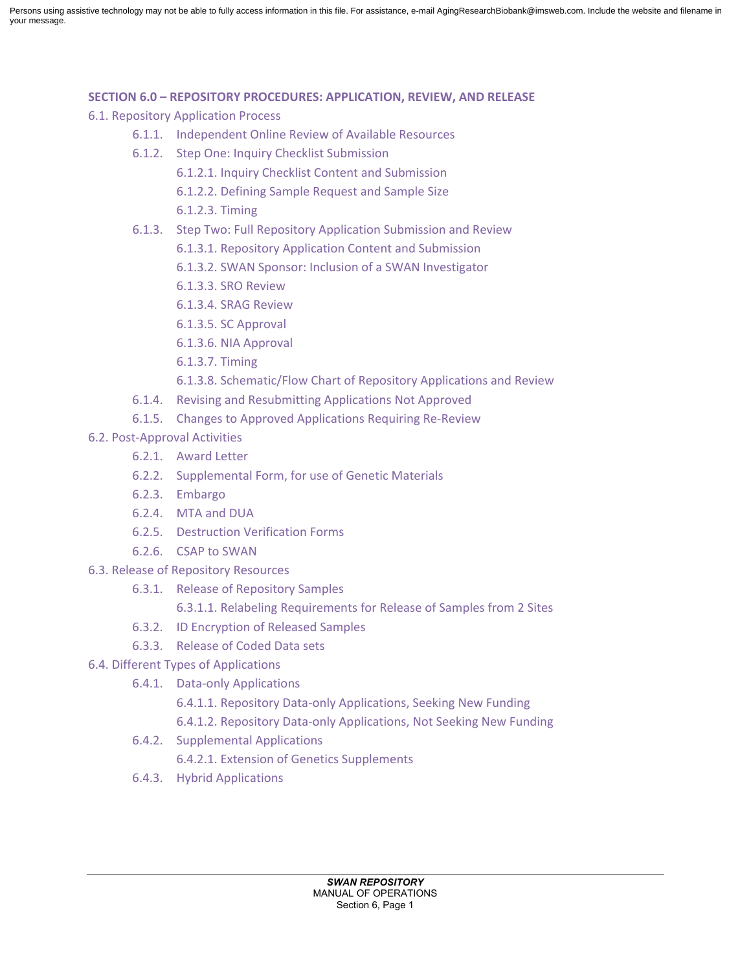Persons using assistive technology may not be able to fully access information in this file. For assistance, e-mail AgingResearchBiobank@imsweb.com. Include the website and filename in your message.

### **SECTION 6.0 – REPOSITORY PROCEDURES: APPLICATION, REVIEW, AND RELEASE**

- 6.1. Repository Application Process
	- 6.1.1. Independent Online Review of Available Resources
	- 6.1.2. Step One: Inquiry Checklist Submission
		- 6.1.2.1. Inquiry Checklist Content and Submission
		- 6.1.2.2. Defining Sample Request and Sample Size
		- 6.1.2.3. Timing
	- 6.1.3. Step Two: Full Repository Application Submission and Review
		- 6.1.3.1. Repository Application Content and Submission
		- 6.1.3.2. SWAN Sponsor: Inclusion of a SWAN Investigator
		- 6.1.3.3. SRO Review
		- 6.1.3.4. SRAG Review
		- 6.1.3.5. SC Approval
		- 6.1.3.6. NIA Approval
		- 6.1.3.7. Timing
		- 6.1.3.8. Schematic/Flow Chart of Repository Applications and Review
	- 6.1.4. Revising and Resubmitting Applications Not Approved
	- 6.1.5. Changes to Approved Applications Requiring Re-Review
- 6.2. Post-Approval Activities
	- 6.2.1. Award Letter
	- 6.2.2. Supplemental Form, for use of Genetic Materials
	- 6.2.3. Embargo
	- 6.2.4. MTA and DUA
	- 6.2.5. Destruction Verification Forms
	- 6.2.6. CSAP to SWAN
- 6.3. Release of Repository Resources
	- 6.3.1. Release of Repository Samples
		- 6.3.1.1. Relabeling Requirements for Release of Samples from 2 Sites
	- 6.3.2. ID Encryption of Released Samples
	- 6.3.3. Release of Coded Data sets
- 6.4. Different Types of Applications
	- 6.4.1. Data-only Applications
		- 6.4.1.1. Repository Data-only Applications, Seeking New Funding
		- 6.4.1.2. Repository Data-only Applications, Not Seeking New Funding
		- 6.4.2. Supplemental Applications
			- 6.4.2.1. Extension of Genetics Supplements
		- 6.4.3. Hybrid Applications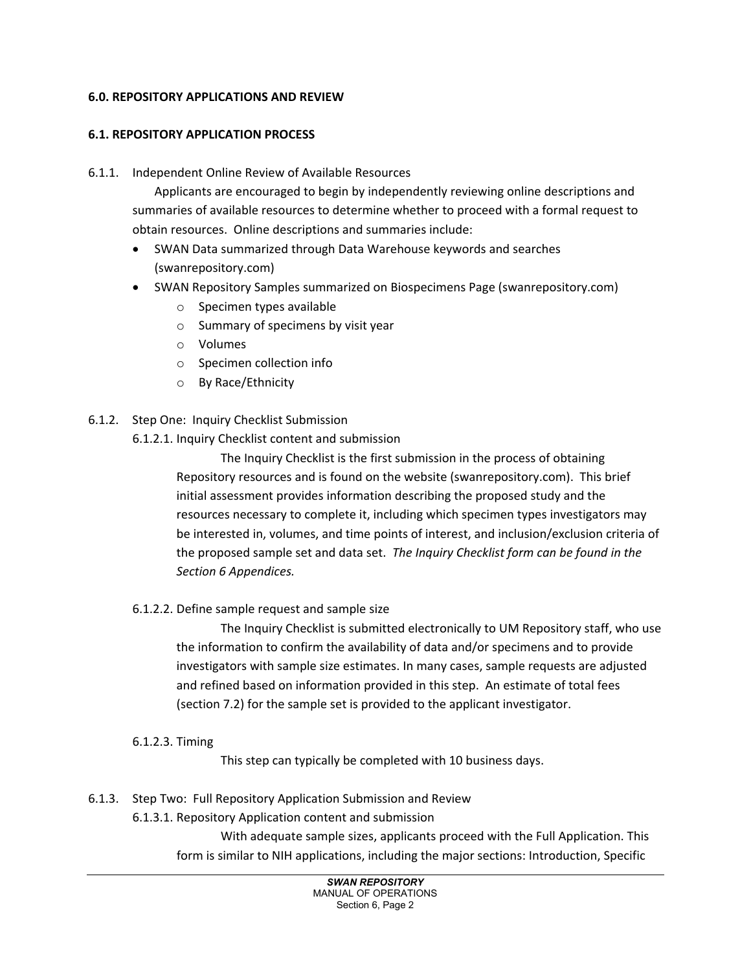## **6.0. REPOSITORY APPLICATIONS AND REVIEW**

## **6.1. REPOSITORY APPLICATION PROCESS**

### 6.1.1. Independent Online Review of Available Resources

Applicants are encouraged to begin by independently reviewing online descriptions and summaries of available resources to determine whether to proceed with a formal request to obtain resources. Online descriptions and summaries include:

- SWAN Data summarized through Data Warehouse keywords and searches (swanrepository.com)
- SWAN Repository Samples summarized on Biospecimens Page (swanrepository.com)
	- o Specimen types available
	- o Summary of specimens by visit year
	- o Volumes
	- o Specimen collection info
	- o By Race/Ethnicity
- 6.1.2. Step One: Inquiry Checklist Submission
	- 6.1.2.1. Inquiry Checklist content and submission

The Inquiry Checklist is the first submission in the process of obtaining Repository resources and is found on the website (swanrepository.com). This brief initial assessment provides information describing the proposed study and the resources necessary to complete it, including which specimen types investigators may be interested in, volumes, and time points of interest, and inclusion/exclusion criteria of the proposed sample set and data set. *The Inquiry Checklist form can be found in the Section 6 Appendices.*

6.1.2.2. Define sample request and sample size

The Inquiry Checklist is submitted electronically to UM Repository staff, who use the information to confirm the availability of data and/or specimens and to provide investigators with sample size estimates. In many cases, sample requests are adjusted and refined based on information provided in this step. An estimate of total fees (section 7.2) for the sample set is provided to the applicant investigator.

6.1.2.3. Timing

This step can typically be completed with 10 business days.

- 6.1.3. Step Two: Full Repository Application Submission and Review
	- 6.1.3.1. Repository Application content and submission

With adequate sample sizes, applicants proceed with the Full Application. This form is similar to NIH applications, including the major sections: Introduction, Specific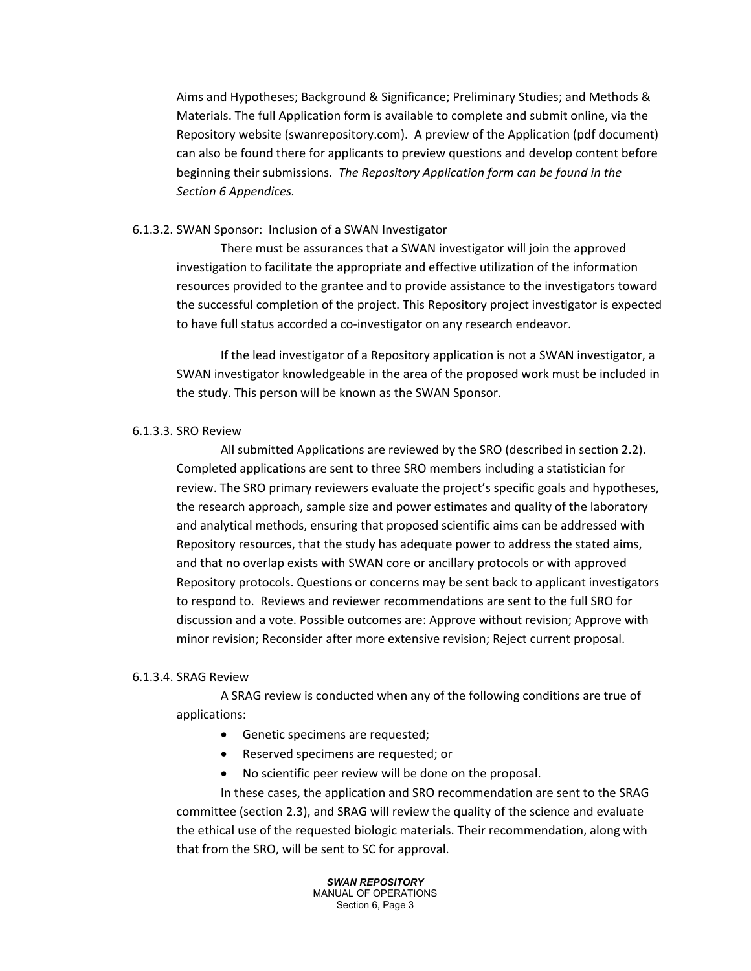Aims and Hypotheses; Background & Significance; Preliminary Studies; and Methods & Materials. The full Application form is available to complete and submit online, via the Repository website (swanrepository.com). A preview of the Application (pdf document) can also be found there for applicants to preview questions and develop content before beginning their submissions. *The Repository Application form can be found in the Section 6 Appendices.*

## 6.1.3.2. SWAN Sponsor: Inclusion of a SWAN Investigator

There must be assurances that a SWAN investigator will join the approved investigation to facilitate the appropriate and effective utilization of the information resources provided to the grantee and to provide assistance to the investigators toward the successful completion of the project. This Repository project investigator is expected to have full status accorded a co-investigator on any research endeavor.

If the lead investigator of a Repository application is not a SWAN investigator, a SWAN investigator knowledgeable in the area of the proposed work must be included in the study. This person will be known as the SWAN Sponsor.

### 6.1.3.3. SRO Review

All submitted Applications are reviewed by the SRO (described in section 2.2). Completed applications are sent to three SRO members including a statistician for review. The SRO primary reviewers evaluate the project's specific goals and hypotheses, the research approach, sample size and power estimates and quality of the laboratory and analytical methods, ensuring that proposed scientific aims can be addressed with Repository resources, that the study has adequate power to address the stated aims, and that no overlap exists with SWAN core or ancillary protocols or with approved Repository protocols. Questions or concerns may be sent back to applicant investigators to respond to. Reviews and reviewer recommendations are sent to the full SRO for discussion and a vote. Possible outcomes are: Approve without revision; Approve with minor revision; Reconsider after more extensive revision; Reject current proposal.

### 6.1.3.4. SRAG Review

A SRAG review is conducted when any of the following conditions are true of applications:

- Genetic specimens are requested;
- Reserved specimens are requested; or
- No scientific peer review will be done on the proposal.

In these cases, the application and SRO recommendation are sent to the SRAG committee (section 2.3), and SRAG will review the quality of the science and evaluate the ethical use of the requested biologic materials. Their recommendation, along with that from the SRO, will be sent to SC for approval.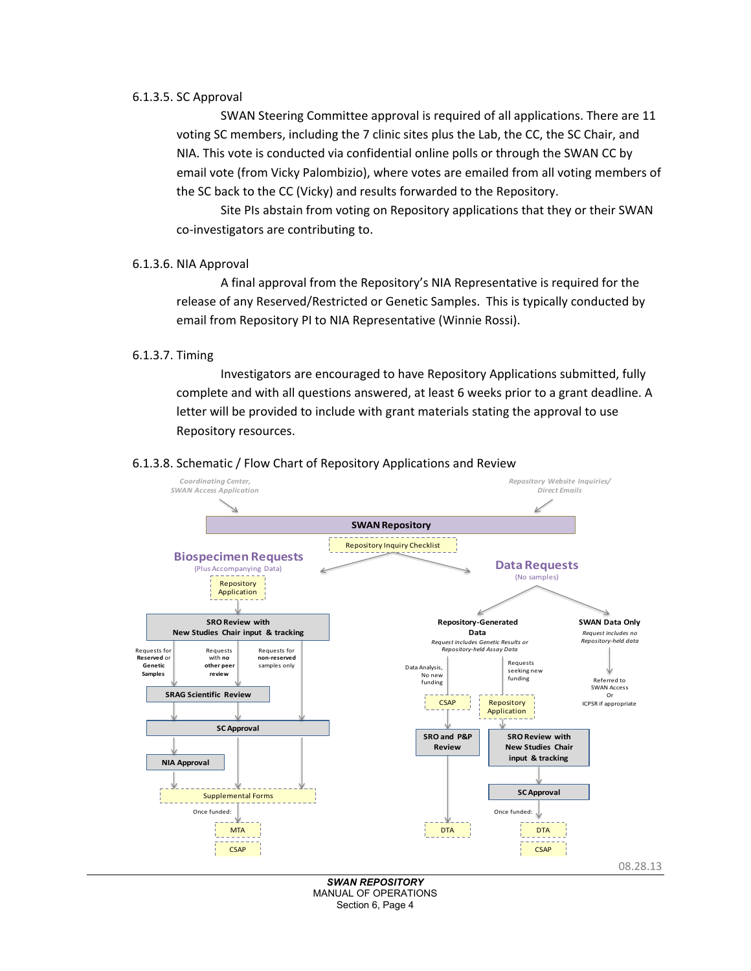#### 6.1.3.5. SC Approval

SWAN Steering Committee approval is required of all applications. There are 11 voting SC members, including the 7 clinic sites plus the Lab, the CC, the SC Chair, and NIA. This vote is conducted via confidential online polls or through the SWAN CC by email vote (from Vicky Palombizio), where votes are emailed from all voting members of the SC back to the CC (Vicky) and results forwarded to the Repository.

Site PIs abstain from voting on Repository applications that they or their SWAN co-investigators are contributing to.

#### 6.1.3.6. NIA Approval

A final approval from the Repository's NIA Representative is required for the release of any Reserved/Restricted or Genetic Samples. This is typically conducted by email from Repository PI to NIA Representative (Winnie Rossi).

#### 6.1.3.7. Timing

Investigators are encouraged to have Repository Applications submitted, fully complete and with all questions answered, at least 6 weeks prior to a grant deadline. A letter will be provided to include with grant materials stating the approval to use Repository resources.

#### 6.1.3.8. Schematic / Flow Chart of Repository Applications and Review



*SWAN REPOSITORY* MANUAL OF OPERATIONS Section 6, Page 4

08.28.13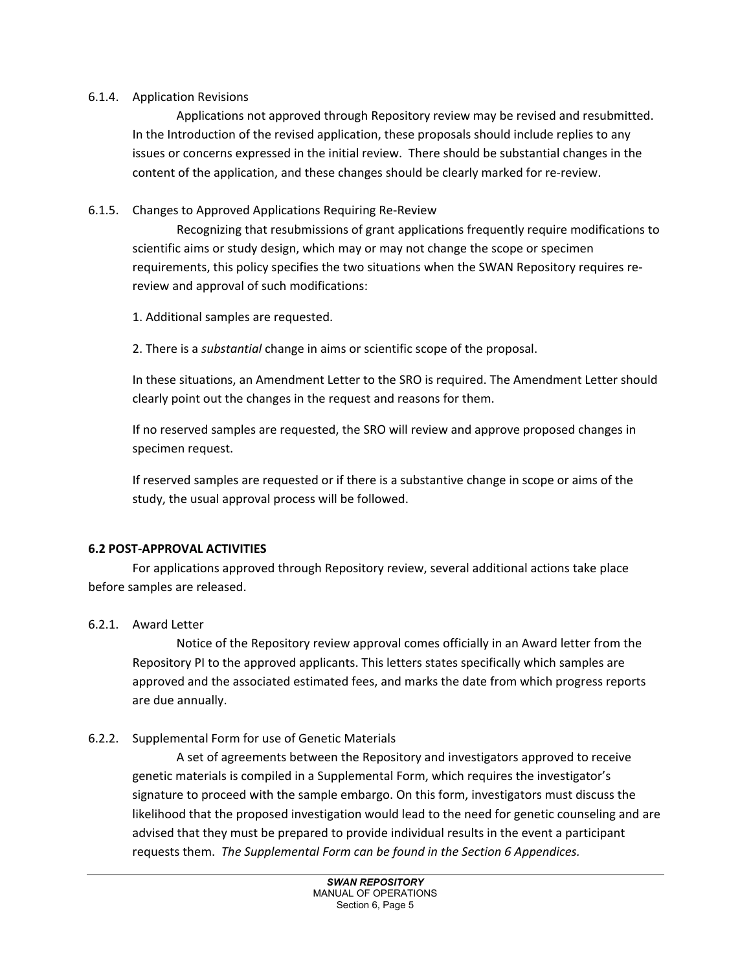### 6.1.4. Application Revisions

Applications not approved through Repository review may be revised and resubmitted. In the Introduction of the revised application, these proposals should include replies to any issues or concerns expressed in the initial review. There should be substantial changes in the content of the application, and these changes should be clearly marked for re-review.

# 6.1.5. Changes to Approved Applications Requiring Re-Review

Recognizing that resubmissions of grant applications frequently require modifications to scientific aims or study design, which may or may not change the scope or specimen requirements, this policy specifies the two situations when the SWAN Repository requires rereview and approval of such modifications:

1. Additional samples are requested.

2. There is a *substantial* change in aims or scientific scope of the proposal.

In these situations, an Amendment Letter to the SRO is required. The Amendment Letter should clearly point out the changes in the request and reasons for them.

If no reserved samples are requested, the SRO will review and approve proposed changes in specimen request.

If reserved samples are requested or if there is a substantive change in scope or aims of the study, the usual approval process will be followed.

# **6.2 POST-APPROVAL ACTIVITIES**

For applications approved through Repository review, several additional actions take place before samples are released.

# 6.2.1. Award Letter

Notice of the Repository review approval comes officially in an Award letter from the Repository PI to the approved applicants. This letters states specifically which samples are approved and the associated estimated fees, and marks the date from which progress reports are due annually.

# 6.2.2. Supplemental Form for use of Genetic Materials

A set of agreements between the Repository and investigators approved to receive genetic materials is compiled in a Supplemental Form, which requires the investigator's signature to proceed with the sample embargo. On this form, investigators must discuss the likelihood that the proposed investigation would lead to the need for genetic counseling and are advised that they must be prepared to provide individual results in the event a participant requests them. *The Supplemental Form can be found in the Section 6 Appendices.*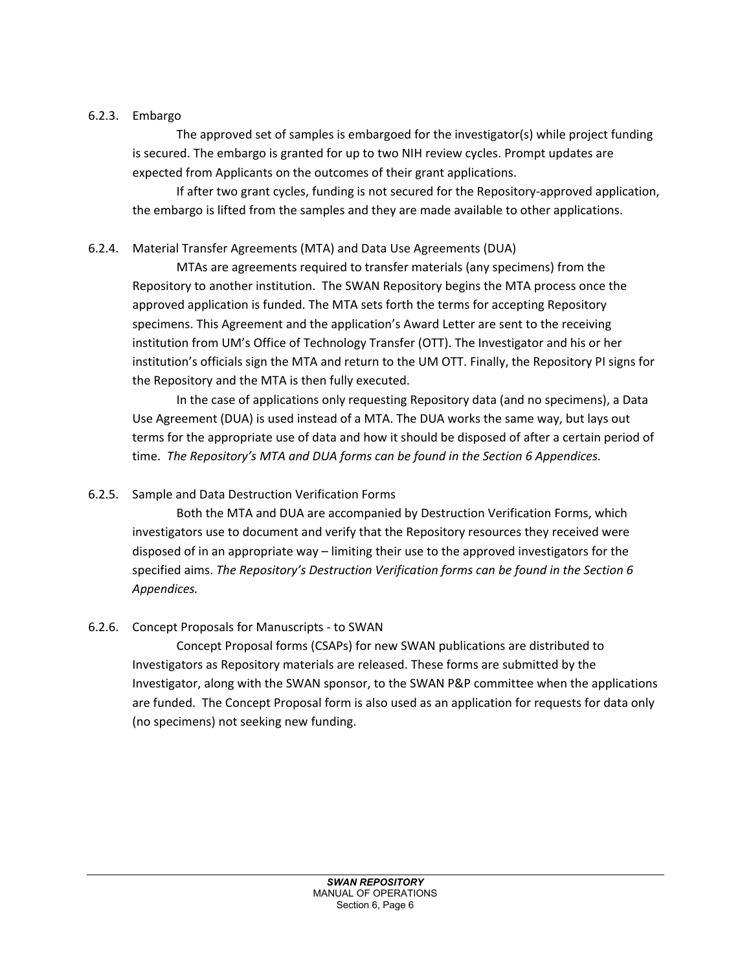# 6.2.3. Embargo

The approved set of samples is embargoed for the investigator(s) while project funding is secured. The embargo is granted for up to two NIH review cycles. Prompt updates are expected from Applicants on the outcomes of their grant applications.

If after two grant cycles, funding is not secured for the Repository-approved application, the embargo is lifted from the samples and they are made available to other applications.

# 6.2.4. Material Transfer Agreements (MTA) and Data Use Agreements (DUA)

MTAs are agreements required to transfer materials (any specimens) from the Repository to another institution. The SWAN Repository begins the MTA process once the approved application is funded. The MTA sets forth the terms for accepting Repository specimens. This Agreement and the application's Award Letter are sent to the receiving institution from UM's Office of Technology Transfer (OTT). The Investigator and his or her institution's officials sign the MTA and return to the UM OTT. Finally, the Repository PI signs for the Repository and the MTA is then fully executed.

In the case of applications only requesting Repository data (and no specimens), a Data Use Agreement (DUA) is used instead of a MTA. The DUA works the same way, but lays out terms for the appropriate use of data and how it should be disposed of after a certain period of time. *The Repository's MTA and DUA forms can be found in the Section 6 Appendices.*

# 6.2.5. Sample and Data Destruction Verification Forms

Both the MTA and DUA are accompanied by Destruction Verification Forms, which investigators use to document and verify that the Repository resources they received were disposed of in an appropriate way – limiting their use to the approved investigators for the specified aims. *The Repository's Destruction Verification forms can be found in the Section 6 Appendices.*

# 6.2.6. Concept Proposals for Manuscripts - to SWAN

Concept Proposal forms (CSAPs) for new SWAN publications are distributed to Investigators as Repository materials are released. These forms are submitted by the Investigator, along with the SWAN sponsor, to the SWAN P&P committee when the applications are funded. The Concept Proposal form is also used as an application for requests for data only (no specimens) not seeking new funding.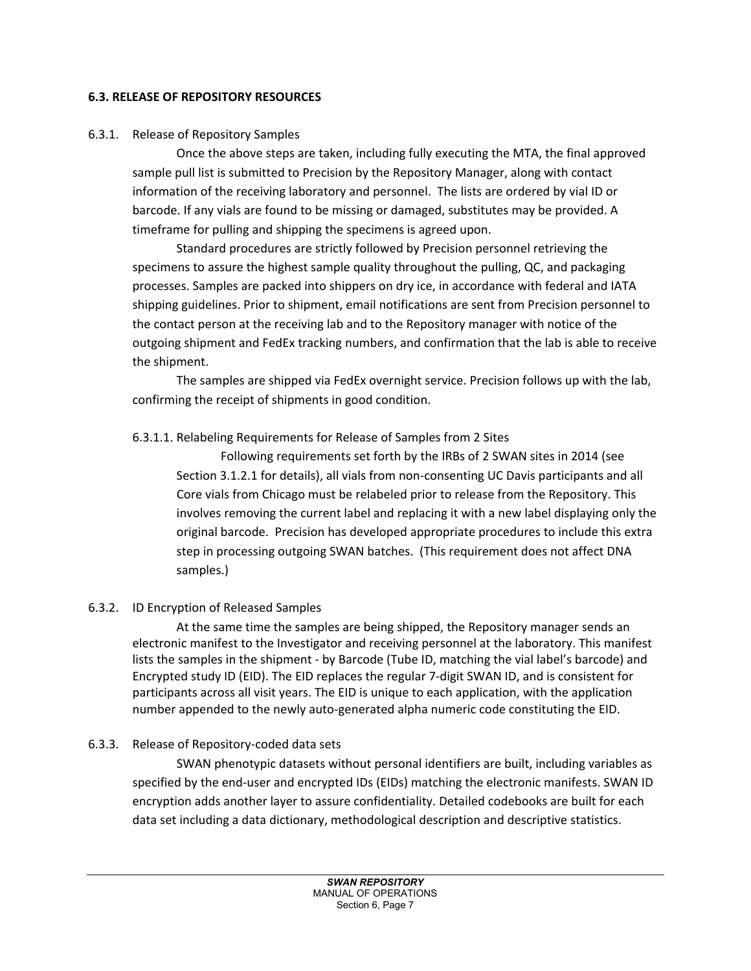### **6.3. RELEASE OF REPOSITORY RESOURCES**

## 6.3.1. Release of Repository Samples

Once the above steps are taken, including fully executing the MTA, the final approved sample pull list is submitted to Precision by the Repository Manager, along with contact information of the receiving laboratory and personnel. The lists are ordered by vial ID or barcode. If any vials are found to be missing or damaged, substitutes may be provided. A timeframe for pulling and shipping the specimens is agreed upon.

Standard procedures are strictly followed by Precision personnel retrieving the specimens to assure the highest sample quality throughout the pulling, QC, and packaging processes. Samples are packed into shippers on dry ice, in accordance with federal and IATA shipping guidelines. Prior to shipment, email notifications are sent from Precision personnel to the contact person at the receiving lab and to the Repository manager with notice of the outgoing shipment and FedEx tracking numbers, and confirmation that the lab is able to receive the shipment.

The samples are shipped via FedEx overnight service. Precision follows up with the lab, confirming the receipt of shipments in good condition.

# 6.3.1.1. Relabeling Requirements for Release of Samples from 2 Sites

Following requirements set forth by the IRBs of 2 SWAN sites in 2014 (see Section 3.1.2.1 for details), all vials from non-consenting UC Davis participants and all Core vials from Chicago must be relabeled prior to release from the Repository. This involves removing the current label and replacing it with a new label displaying only the original barcode. Precision has developed appropriate procedures to include this extra step in processing outgoing SWAN batches. (This requirement does not affect DNA samples.)

# 6.3.2. ID Encryption of Released Samples

At the same time the samples are being shipped, the Repository manager sends an electronic manifest to the Investigator and receiving personnel at the laboratory. This manifest lists the samples in the shipment - by Barcode (Tube ID, matching the vial label's barcode) and Encrypted study ID (EID). The EID replaces the regular 7-digit SWAN ID, and is consistent for participants across all visit years. The EID is unique to each application, with the application number appended to the newly auto-generated alpha numeric code constituting the EID.

# 6.3.3. Release of Repository-coded data sets

SWAN phenotypic datasets without personal identifiers are built, including variables as specified by the end-user and encrypted IDs (EIDs) matching the electronic manifests. SWAN ID encryption adds another layer to assure confidentiality. Detailed codebooks are built for each data set including a data dictionary, methodological description and descriptive statistics.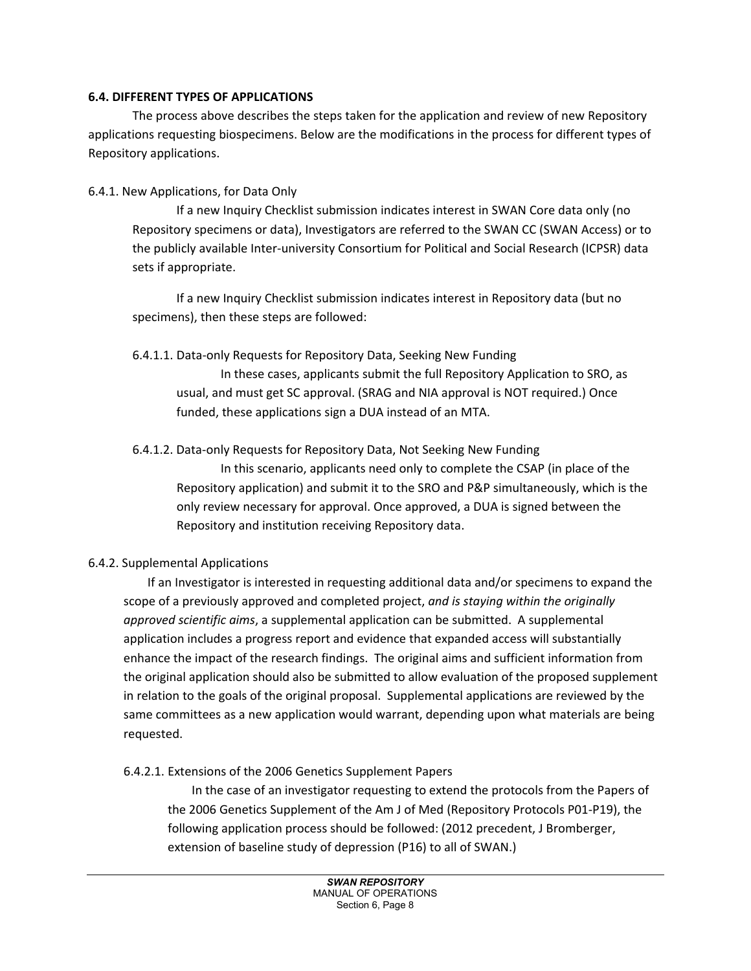### **6.4. DIFFERENT TYPES OF APPLICATIONS**

The process above describes the steps taken for the application and review of new Repository applications requesting biospecimens. Below are the modifications in the process for different types of Repository applications.

## 6.4.1. New Applications, for Data Only

If a new Inquiry Checklist submission indicates interest in SWAN Core data only (no Repository specimens or data), Investigators are referred to the SWAN CC (SWAN Access) or to the publicly available Inter-university Consortium for Political and Social Research (ICPSR) data sets if appropriate.

If a new Inquiry Checklist submission indicates interest in Repository data (but no specimens), then these steps are followed:

### 6.4.1.1. Data-only Requests for Repository Data, Seeking New Funding

In these cases, applicants submit the full Repository Application to SRO, as usual, and must get SC approval. (SRAG and NIA approval is NOT required.) Once funded, these applications sign a DUA instead of an MTA.

### 6.4.1.2. Data-only Requests for Repository Data, Not Seeking New Funding

In this scenario, applicants need only to complete the CSAP (in place of the Repository application) and submit it to the SRO and P&P simultaneously, which is the only review necessary for approval. Once approved, a DUA is signed between the Repository and institution receiving Repository data.

# 6.4.2. Supplemental Applications

 If an Investigator is interested in requesting additional data and/or specimens to expand the scope of a previously approved and completed project, *and is staying within the originally approved scientific aims*, a supplemental application can be submitted. A supplemental application includes a progress report and evidence that expanded access will substantially enhance the impact of the research findings. The original aims and sufficient information from the original application should also be submitted to allow evaluation of the proposed supplement in relation to the goals of the original proposal. Supplemental applications are reviewed by the same committees as a new application would warrant, depending upon what materials are being requested.

### 6.4.2.1. Extensions of the 2006 Genetics Supplement Papers

 In the case of an investigator requesting to extend the protocols from the Papers of the 2006 Genetics Supplement of the Am J of Med (Repository Protocols P01-P19), the following application process should be followed: (2012 precedent, J Bromberger, extension of baseline study of depression (P16) to all of SWAN.)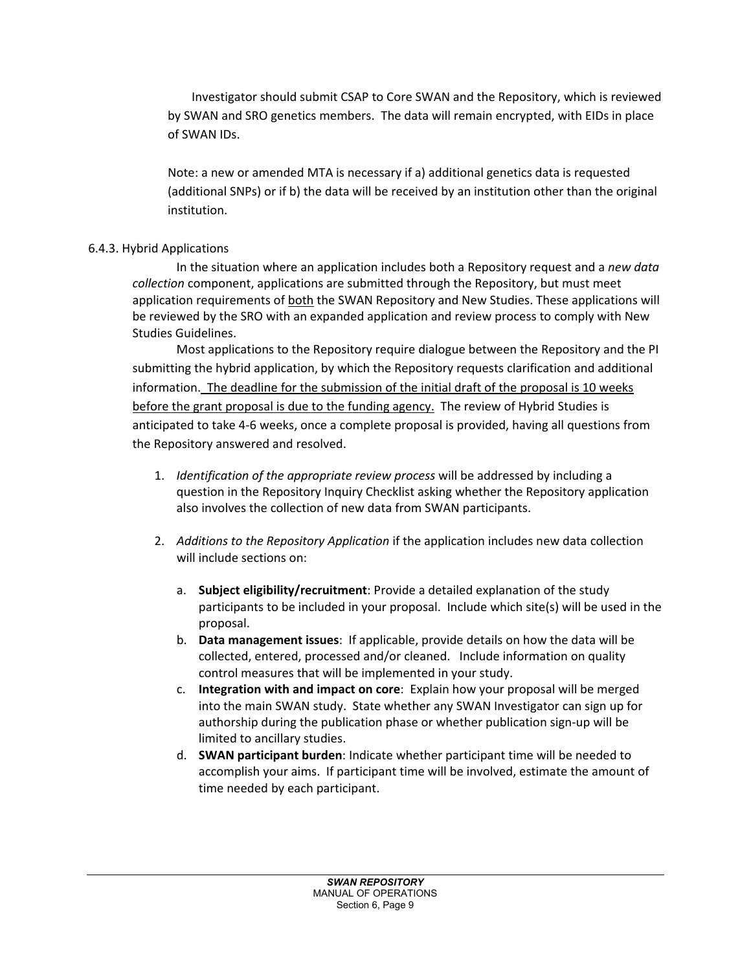Investigator should submit CSAP to Core SWAN and the Repository, which is reviewed by SWAN and SRO genetics members. The data will remain encrypted, with EIDs in place of SWAN IDs.

Note: a new or amended MTA is necessary if a) additional genetics data is requested (additional SNPs) or if b) the data will be received by an institution other than the original institution.

# 6.4.3. Hybrid Applications

In the situation where an application includes both a Repository request and a *new data collection* component, applications are submitted through the Repository, but must meet application requirements of both the SWAN Repository and New Studies. These applications will be reviewed by the SRO with an expanded application and review process to comply with New Studies Guidelines.

Most applications to the Repository require dialogue between the Repository and the PI submitting the hybrid application, by which the Repository requests clarification and additional information. The deadline for the submission of the initial draft of the proposal is 10 weeks before the grant proposal is due to the funding agency. The review of Hybrid Studies is anticipated to take 4-6 weeks, once a complete proposal is provided, having all questions from the Repository answered and resolved.

- 1. *Identification of the appropriate review process* will be addressed by including a question in the Repository Inquiry Checklist asking whether the Repository application also involves the collection of new data from SWAN participants.
- 2. *Additions to the Repository Application* if the application includes new data collection will include sections on:
	- a. **Subject eligibility/recruitment**: Provide a detailed explanation of the study participants to be included in your proposal. Include which site(s) will be used in the proposal.
	- b. **Data management issues**: If applicable, provide details on how the data will be collected, entered, processed and/or cleaned. Include information on quality control measures that will be implemented in your study.
	- c. **Integration with and impact on core**: Explain how your proposal will be merged into the main SWAN study. State whether any SWAN Investigator can sign up for authorship during the publication phase or whether publication sign-up will be limited to ancillary studies.
	- d. **SWAN participant burden**: Indicate whether participant time will be needed to accomplish your aims. If participant time will be involved, estimate the amount of time needed by each participant.